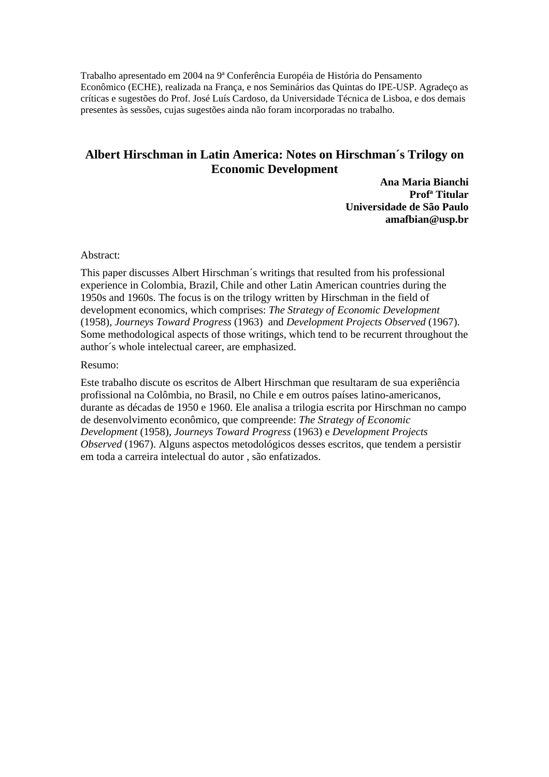Trabalho apresentado em 2004 na 9ª Conferência Européia de História do Pensamento Econômico (ECHE), realizada na França, e nos Seminários das Quintas do IPE-USP. Agradeço as críticas e sugestões do Prof. José Luís Cardoso, da Universidade Técnica de Lisboa, e dos demais presentes às sessões, cujas sugestões ainda não foram incorporadas no trabalho.

# **Albert Hirschman in Latin America: Notes on Hirschman´s Trilogy on Economic Development**

**Ana Maria Bianchi Profª Titular Universidade de São Paulo amafbian@usp.br** 

Abstract:

This paper discusses Albert Hirschman´s writings that resulted from his professional experience in Colombia, Brazil, Chile and other Latin American countries during the 1950s and 1960s. The focus is on the trilogy written by Hirschman in the field of development economics, which comprises: *The Strategy of Economic Development*  (1958), *Journeys Toward Progress* (1963) and *Development Projects Observed* (1967). Some methodological aspects of those writings, which tend to be recurrent throughout the author´s whole intelectual career, are emphasized.

Resumo:

Este trabalho discute os escritos de Albert Hirschman que resultaram de sua experiência profissional na Colômbia, no Brasil, no Chile e em outros países latino-americanos, durante as décadas de 1950 e 1960. Ele analisa a trilogia escrita por Hirschman no campo de desenvolvimento econômico, que compreende: *The Strategy of Economic Development* (1958), *Journeys Toward Progress* (1963) e *Development Projects Observed* (1967). Alguns aspectos metodológicos desses escritos, que tendem a persistir em toda a carreira intelectual do autor , são enfatizados.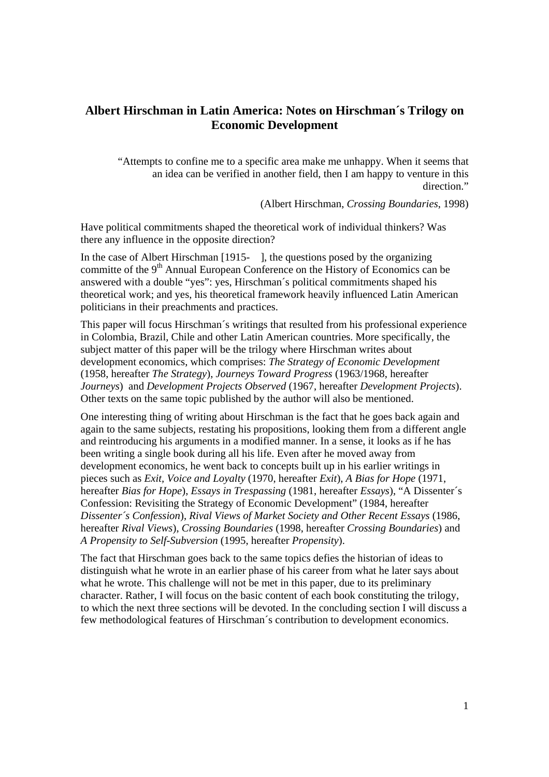## **Albert Hirschman in Latin America: Notes on Hirschman´s Trilogy on Economic Development**

"Attempts to confine me to a specific area make me unhappy. When it seems that an idea can be verified in another field, then I am happy to venture in this direction."

(Albert Hirschman, *Crossing Boundaries*, 1998)

Have political commitments shaped the theoretical work of individual thinkers? Was there any influence in the opposite direction?

In the case of Albert Hirschman [1915- ], the questions posed by the organizing committe of the  $9<sup>th</sup>$  Annual European Conference on the History of Economics can be answered with a double "yes": yes, Hirschman´s political commitments shaped his theoretical work; and yes, his theoretical framework heavily influenced Latin American politicians in their preachments and practices.

This paper will focus Hirschman´s writings that resulted from his professional experience in Colombia, Brazil, Chile and other Latin American countries. More specifically, the subject matter of this paper will be the trilogy where Hirschman writes about development economics, which comprises: *The Strategy of Economic Development*  (1958, hereafter *The Strategy*), *Journeys Toward Progress* (1963/1968, hereafter *Journeys*) and *Development Projects Observed* (1967, hereafter *Development Projects*). Other texts on the same topic published by the author will also be mentioned.

One interesting thing of writing about Hirschman is the fact that he goes back again and again to the same subjects, restating his propositions, looking them from a different angle and reintroducing his arguments in a modified manner. In a sense, it looks as if he has been writing a single book during all his life. Even after he moved away from development economics, he went back to concepts built up in his earlier writings in pieces such as *Exit, Voice and Loyalty* (1970, hereafter *Exit*), *A Bias for Hope* (1971, hereafter *Bias for Hope*), *Essays in Trespassing* (1981, hereafter *Essays*), "A Dissenter´s Confession: Revisiting the Strategy of Economic Development" (1984, hereafter *Dissenter´s Confession*), *Rival Views of Market Society and Other Recent Essays* (1986, hereafter *Rival Views*), *Crossing Boundaries* (1998, hereafter *Crossing Boundaries*) and *A Propensity to Self-Subversion* (1995, hereafter *Propensity*).

The fact that Hirschman goes back to the same topics defies the historian of ideas to distinguish what he wrote in an earlier phase of his career from what he later says about what he wrote. This challenge will not be met in this paper, due to its preliminary character. Rather, I will focus on the basic content of each book constituting the trilogy, to which the next three sections will be devoted. In the concluding section I will discuss a few methodological features of Hirschman´s contribution to development economics.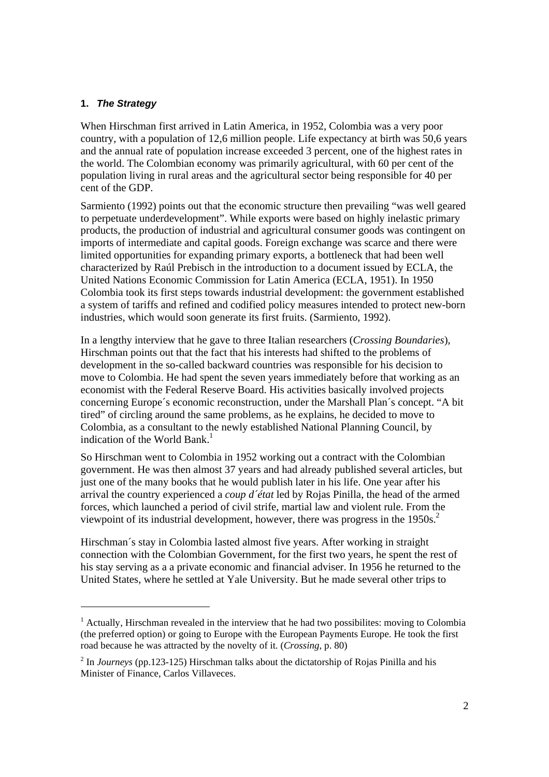### **1.** *The Strategy*

When Hirschman first arrived in Latin America, in 1952, Colombia was a very poor country, with a population of 12,6 million people. Life expectancy at birth was 50,6 years and the annual rate of population increase exceeded 3 percent, one of the highest rates in the world. The Colombian economy was primarily agricultural, with 60 per cent of the population living in rural areas and the agricultural sector being responsible for 40 per cent of the GDP.

Sarmiento (1992) points out that the economic structure then prevailing "was well geared to perpetuate underdevelopment". While exports were based on highly inelastic primary products, the production of industrial and agricultural consumer goods was contingent on imports of intermediate and capital goods. Foreign exchange was scarce and there were limited opportunities for expanding primary exports, a bottleneck that had been well characterized by Raúl Prebisch in the introduction to a document issued by ECLA, the United Nations Economic Commission for Latin America (ECLA, 1951). In 1950 Colombia took its first steps towards industrial development: the government established a system of tariffs and refined and codified policy measures intended to protect new-born industries, which would soon generate its first fruits. (Sarmiento, 1992).

In a lengthy interview that he gave to three Italian researchers (*Crossing Boundaries*), Hirschman points out that the fact that his interests had shifted to the problems of development in the so-called backward countries was responsible for his decision to move to Colombia. He had spent the seven years immediately before that working as an economist with the Federal Reserve Board. His activities basically involved projects concerning Europe´s economic reconstruction, under the Marshall Plan´s concept. "A bit tired" of circling around the same problems, as he explains, he decided to move to Colombia, as a consultant to the newly established National Planning Council, by indication of the World Bank.<sup>1</sup>

So Hirschman went to Colombia in 1952 working out a contract with the Colombian government. He was then almost 37 years and had already published several articles, but just one of the many books that he would publish later in his life. One year after his arrival the country experienced a *coup d´état* led by Rojas Pinilla, the head of the armed forces, which launched a period of civil strife, martial law and violent rule. From the viewpoint of its industrial development, however, there was progress in the  $1950s^2$ .

Hirschman´s stay in Colombia lasted almost five years. After working in straight connection with the Colombian Government, for the first two years, he spent the rest of his stay serving as a a private economic and financial adviser. In 1956 he returned to the United States, where he settled at Yale University. But he made several other trips to

<sup>&</sup>lt;sup>1</sup> Actually, Hirschman revealed in the interview that he had two possibilites: moving to Colombia (the preferred option) or going to Europe with the European Payments Europe. He took the first road because he was attracted by the novelty of it. (*Crossing*, p. 80)

<sup>&</sup>lt;sup>2</sup> In *Journeys* (pp.123-125) Hirschman talks about the dictatorship of Rojas Pinilla and his Minister of Finance, Carlos Villaveces.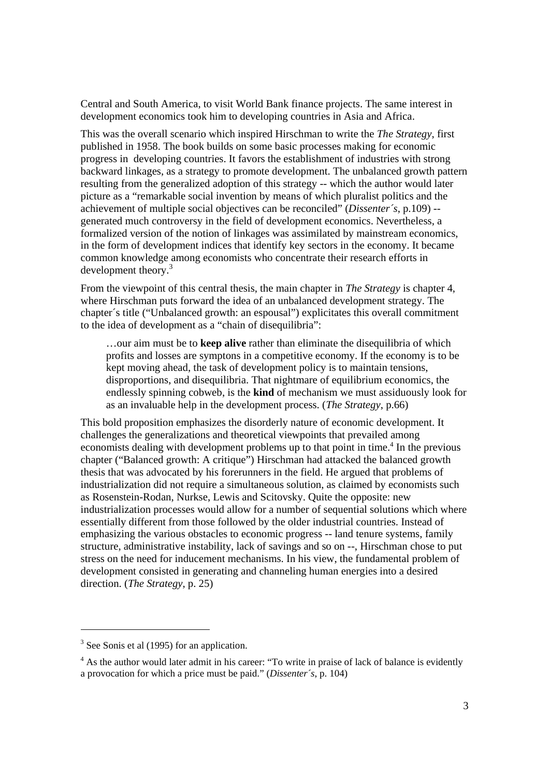Central and South America, to visit World Bank finance projects. The same interest in development economics took him to developing countries in Asia and Africa.

This was the overall scenario which inspired Hirschman to write the *The Strategy*, first published in 1958. The book builds on some basic processes making for economic progress in developing countries. It favors the establishment of industries with strong backward linkages, as a strategy to promote development. The unbalanced growth pattern resulting from the generalized adoption of this strategy -- which the author would later picture as a "remarkable social invention by means of which pluralist politics and the achievement of multiple social objectives can be reconciled" (*Dissenter´s*, p.109) - generated much controversy in the field of development economics. Nevertheless, a formalized version of the notion of linkages was assimilated by mainstream economics, in the form of development indices that identify key sectors in the economy. It became common knowledge among economists who concentrate their research efforts in development theory.<sup>3</sup>

From the viewpoint of this central thesis, the main chapter in *The Strategy* is chapter 4, where Hirschman puts forward the idea of an unbalanced development strategy. The chapter´s title ("Unbalanced growth: an espousal") explicitates this overall commitment to the idea of development as a "chain of disequilibria":

…our aim must be to **keep alive** rather than eliminate the disequilibria of which profits and losses are symptons in a competitive economy. If the economy is to be kept moving ahead, the task of development policy is to maintain tensions, disproportions, and disequilibria. That nightmare of equilibrium economics, the endlessly spinning cobweb, is the **kind** of mechanism we must assiduously look for as an invaluable help in the development process. (*The Strategy*, p.66)

This bold proposition emphasizes the disorderly nature of economic development. It challenges the generalizations and theoretical viewpoints that prevailed among economists dealing with development problems up to that point in time.<sup>4</sup> In the previous chapter ("Balanced growth: A critique") Hirschman had attacked the balanced growth thesis that was advocated by his forerunners in the field. He argued that problems of industrialization did not require a simultaneous solution, as claimed by economists such as Rosenstein-Rodan, Nurkse, Lewis and Scitovsky. Quite the opposite: new industrialization processes would allow for a number of sequential solutions which where essentially different from those followed by the older industrial countries. Instead of emphasizing the various obstacles to economic progress -- land tenure systems, family structure, administrative instability, lack of savings and so on --, Hirschman chose to put stress on the need for inducement mechanisms. In his view, the fundamental problem of development consisted in generating and channeling human energies into a desired direction. (*The Strategy*, p. 25)

 $3$  See Sonis et al (1995) for an application.

<sup>&</sup>lt;sup>4</sup> As the author would later admit in his career: "To write in praise of lack of balance is evidently a provocation for which a price must be paid." (*Dissenter´s*, p. 104)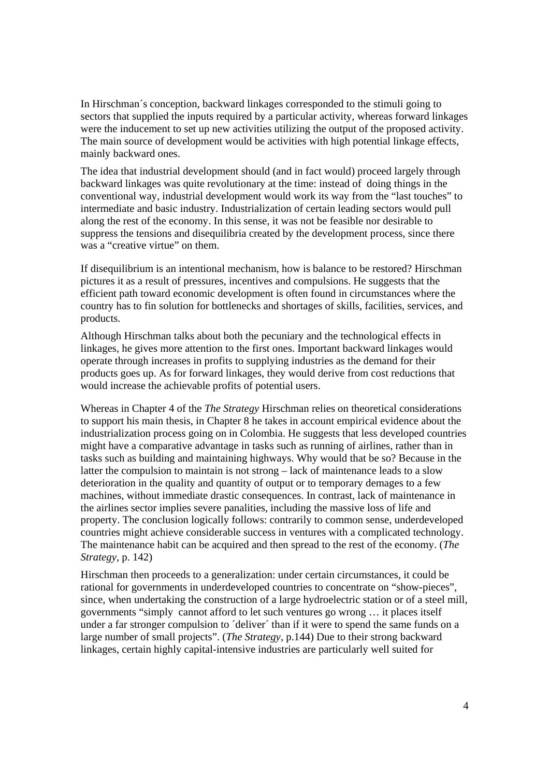In Hirschman´s conception, backward linkages corresponded to the stimuli going to sectors that supplied the inputs required by a particular activity, whereas forward linkages were the inducement to set up new activities utilizing the output of the proposed activity. The main source of development would be activities with high potential linkage effects, mainly backward ones.

The idea that industrial development should (and in fact would) proceed largely through backward linkages was quite revolutionary at the time: instead of doing things in the conventional way, industrial development would work its way from the "last touches" to intermediate and basic industry. Industrialization of certain leading sectors would pull along the rest of the economy. In this sense, it was not be feasible nor desirable to suppress the tensions and disequilibria created by the development process, since there was a "creative virtue" on them.

If disequilibrium is an intentional mechanism, how is balance to be restored? Hirschman pictures it as a result of pressures, incentives and compulsions. He suggests that the efficient path toward economic development is often found in circumstances where the country has to fin solution for bottlenecks and shortages of skills, facilities, services, and products.

Although Hirschman talks about both the pecuniary and the technological effects in linkages, he gives more attention to the first ones. Important backward linkages would operate through increases in profits to supplying industries as the demand for their products goes up. As for forward linkages, they would derive from cost reductions that would increase the achievable profits of potential users.

Whereas in Chapter 4 of the *The Strategy* Hirschman relies on theoretical considerations to support his main thesis, in Chapter 8 he takes in account empirical evidence about the industrialization process going on in Colombia. He suggests that less developed countries might have a comparative advantage in tasks such as running of airlines, rather than in tasks such as building and maintaining highways. Why would that be so? Because in the latter the compulsion to maintain is not strong – lack of maintenance leads to a slow deterioration in the quality and quantity of output or to temporary demages to a few machines, without immediate drastic consequences. In contrast, lack of maintenance in the airlines sector implies severe panalities, including the massive loss of life and property. The conclusion logically follows: contrarily to common sense, underdeveloped countries might achieve considerable success in ventures with a complicated technology. The maintenance habit can be acquired and then spread to the rest of the economy. (*The Strategy*, p. 142)

Hirschman then proceeds to a generalization: under certain circumstances, it could be rational for governments in underdeveloped countries to concentrate on "show-pieces", since, when undertaking the construction of a large hydroelectric station or of a steel mill, governments "simply cannot afford to let such ventures go wrong … it places itself under a far stronger compulsion to ´deliver´ than if it were to spend the same funds on a large number of small projects". (*The Strategy*, p.144) Due to their strong backward linkages, certain highly capital-intensive industries are particularly well suited for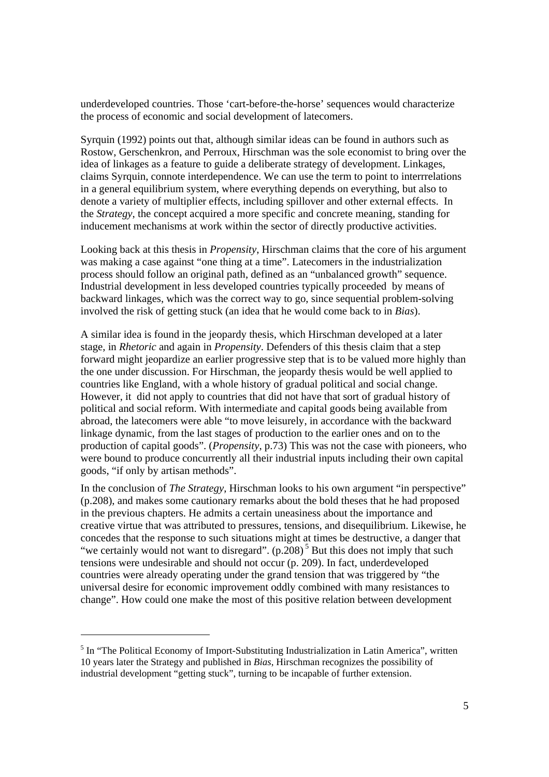underdeveloped countries. Those 'cart-before-the-horse' sequences would characterize the process of economic and social development of latecomers.

Syrquin (1992) points out that, although similar ideas can be found in authors such as Rostow, Gerschenkron, and Perroux, Hirschman was the sole economist to bring over the idea of linkages as a feature to guide a deliberate strategy of development. Linkages, claims Syrquin, connote interdependence. We can use the term to point to interrrelations in a general equilibrium system, where everything depends on everything, but also to denote a variety of multiplier effects, including spillover and other external effects. In the *Strategy*, the concept acquired a more specific and concrete meaning, standing for inducement mechanisms at work within the sector of directly productive activities.

Looking back at this thesis in *Propensity*, Hirschman claims that the core of his argument was making a case against "one thing at a time". Latecomers in the industrialization process should follow an original path, defined as an "unbalanced growth" sequence. Industrial development in less developed countries typically proceeded by means of backward linkages, which was the correct way to go, since sequential problem-solving involved the risk of getting stuck (an idea that he would come back to in *Bias*).

A similar idea is found in the jeopardy thesis, which Hirschman developed at a later stage, in *Rhetoric* and again in *Propensity*. Defenders of this thesis claim that a step forward might jeopardize an earlier progressive step that is to be valued more highly than the one under discussion. For Hirschman, the jeopardy thesis would be well applied to countries like England, with a whole history of gradual political and social change. However, it did not apply to countries that did not have that sort of gradual history of political and social reform. With intermediate and capital goods being available from abroad, the latecomers were able "to move leisurely, in accordance with the backward linkage dynamic, from the last stages of production to the earlier ones and on to the production of capital goods". (*Propensity*, p.73) This was not the case with pioneers, who were bound to produce concurrently all their industrial inputs including their own capital goods, "if only by artisan methods".

In the conclusion of *The Strategy*, Hirschman looks to his own argument "in perspective" (p.208), and makes some cautionary remarks about the bold theses that he had proposed in the previous chapters. He admits a certain uneasiness about the importance and creative virtue that was attributed to pressures, tensions, and disequilibrium. Likewise, he concedes that the response to such situations might at times be destructive, a danger that "we certainly would not want to disregard".  $(p.208)^5$  But this does not imply that such tensions were undesirable and should not occur (p. 209). In fact, underdeveloped countries were already operating under the grand tension that was triggered by "the universal desire for economic improvement oddly combined with many resistances to change". How could one make the most of this positive relation between development

<sup>&</sup>lt;sup>5</sup> In "The Political Economy of Import-Substituting Industrialization in Latin America", written 10 years later the Strategy and published in *Bias*, Hirschman recognizes the possibility of industrial development "getting stuck", turning to be incapable of further extension.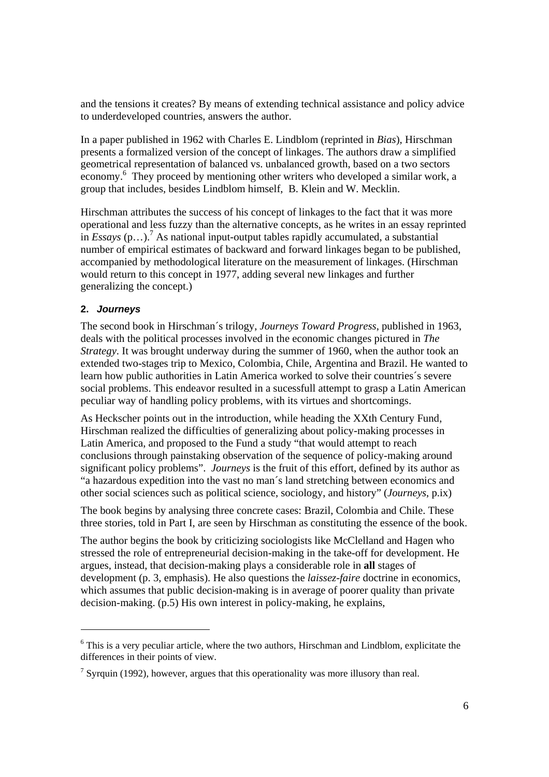and the tensions it creates? By means of extending technical assistance and policy advice to underdeveloped countries, answers the author.

In a paper published in 1962 with Charles E. Lindblom (reprinted in *Bias*), Hirschman presents a formalized version of the concept of linkages. The authors draw a simplified geometrical representation of balanced vs. unbalanced growth, based on a two sectors economy.<sup>6</sup> They proceed by mentioning other writers who developed a similar work, a group that includes, besides Lindblom himself, B. Klein and W. Mecklin.

Hirschman attributes the success of his concept of linkages to the fact that it was more operational and less fuzzy than the alternative concepts, as he writes in an essay reprinted in  $Essays$   $(p...)^7$  As national input-output tables rapidly accumulated, a substantial number of empirical estimates of backward and forward linkages began to be published, accompanied by methodological literature on the measurement of linkages. (Hirschman would return to this concept in 1977, adding several new linkages and further generalizing the concept.)

## **2.** *Journeys*

The second book in Hirschman´s trilogy, *Journeys Toward Progress*, published in 1963, deals with the political processes involved in the economic changes pictured in *The Strategy*. It was brought underway during the summer of 1960, when the author took an extended two-stages trip to Mexico, Colombia, Chile, Argentina and Brazil. He wanted to learn how public authorities in Latin America worked to solve their countries´s severe social problems. This endeavor resulted in a sucessfull attempt to grasp a Latin American peculiar way of handling policy problems, with its virtues and shortcomings.

As Heckscher points out in the introduction, while heading the XXth Century Fund, Hirschman realized the difficulties of generalizing about policy-making processes in Latin America, and proposed to the Fund a study "that would attempt to reach conclusions through painstaking observation of the sequence of policy-making around significant policy problems". *Journeys* is the fruit of this effort, defined by its author as "a hazardous expedition into the vast no man´s land stretching between economics and other social sciences such as political science, sociology, and history" (*Journeys*, p.ix)

The book begins by analysing three concrete cases: Brazil, Colombia and Chile. These three stories, told in Part I, are seen by Hirschman as constituting the essence of the book.

The author begins the book by criticizing sociologists like McClelland and Hagen who stressed the role of entrepreneurial decision-making in the take-off for development. He argues, instead, that decision-making plays a considerable role in **all** stages of development (p. 3, emphasis). He also questions the *laissez-faire* doctrine in economics, which assumes that public decision-making is in average of poorer quality than private decision-making. (p.5) His own interest in policy-making, he explains,

 $6$  This is a very peculiar article, where the two authors, Hirschman and Lindblom, explicitate the differences in their points of view.

<sup>&</sup>lt;sup>7</sup> Syrquin (1992), however, argues that this operationality was more illusory than real.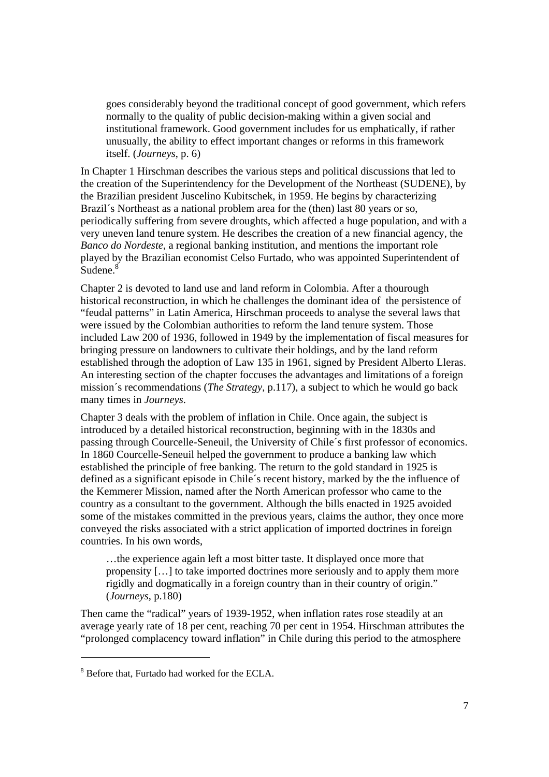goes considerably beyond the traditional concept of good government, which refers normally to the quality of public decision-making within a given social and institutional framework. Good government includes for us emphatically, if rather unusually, the ability to effect important changes or reforms in this framework itself. (*Journeys*, p. 6)

In Chapter 1 Hirschman describes the various steps and political discussions that led to the creation of the Superintendency for the Development of the Northeast (SUDENE), by the Brazilian president Juscelino Kubitschek, in 1959. He begins by characterizing Brazil's Northeast as a national problem area for the (then) last 80 years or so, periodically suffering from severe droughts, which affected a huge population, and with a very uneven land tenure system. He describes the creation of a new financial agency, the *Banco do Nordeste*, a regional banking institution, and mentions the important role played by the Brazilian economist Celso Furtado, who was appointed Superintendent of Sudene.<sup>8</sup>

Chapter 2 is devoted to land use and land reform in Colombia. After a thourough historical reconstruction, in which he challenges the dominant idea of the persistence of "feudal patterns" in Latin America, Hirschman proceeds to analyse the several laws that were issued by the Colombian authorities to reform the land tenure system. Those included Law 200 of 1936, followed in 1949 by the implementation of fiscal measures for bringing pressure on landowners to cultivate their holdings, and by the land reform established through the adoption of Law 135 in 1961, signed by President Alberto Lleras. An interesting section of the chapter foccuses the advantages and limitations of a foreign mission´s recommendations (*The Strategy*, p.117), a subject to which he would go back many times in *Journeys*.

Chapter 3 deals with the problem of inflation in Chile. Once again, the subject is introduced by a detailed historical reconstruction, beginning with in the 1830s and passing through Courcelle-Seneuil, the University of Chile´s first professor of economics. In 1860 Courcelle-Seneuil helped the government to produce a banking law which established the principle of free banking. The return to the gold standard in 1925 is defined as a significant episode in Chile´s recent history, marked by the the influence of the Kemmerer Mission, named after the North American professor who came to the country as a consultant to the government. Although the bills enacted in 1925 avoided some of the mistakes committed in the previous years, claims the author, they once more conveyed the risks associated with a strict application of imported doctrines in foreign countries. In his own words,

…the experience again left a most bitter taste. It displayed once more that propensity […] to take imported doctrines more seriously and to apply them more rigidly and dogmatically in a foreign country than in their country of origin." (*Journeys*, p.180)

Then came the "radical" years of 1939-1952, when inflation rates rose steadily at an average yearly rate of 18 per cent, reaching 70 per cent in 1954. Hirschman attributes the "prolonged complacency toward inflation" in Chile during this period to the atmosphere

 $\overline{\phantom{a}}$ 

<sup>&</sup>lt;sup>8</sup> Before that, Furtado had worked for the ECLA.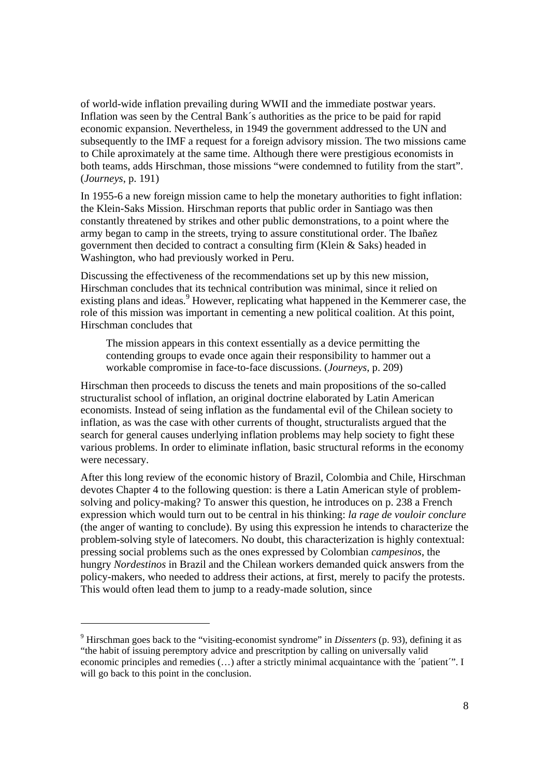of world-wide inflation prevailing during WWII and the immediate postwar years. Inflation was seen by the Central Bank´s authorities as the price to be paid for rapid economic expansion. Nevertheless, in 1949 the government addressed to the UN and subsequently to the IMF a request for a foreign advisory mission. The two missions came to Chile aproximately at the same time. Although there were prestigious economists in both teams, adds Hirschman, those missions "were condemned to futility from the start". (*Journeys*, p. 191)

In 1955-6 a new foreign mission came to help the monetary authorities to fight inflation: the Klein-Saks Mission. Hirschman reports that public order in Santiago was then constantly threatened by strikes and other public demonstrations, to a point where the army began to camp in the streets, trying to assure constitutional order. The Ibañez government then decided to contract a consulting firm (Klein & Saks) headed in Washington, who had previously worked in Peru.

Discussing the effectiveness of the recommendations set up by this new mission, Hirschman concludes that its technical contribution was minimal, since it relied on existing plans and ideas.<sup>9</sup> However, replicating what happened in the Kemmerer case, the role of this mission was important in cementing a new political coalition. At this point, Hirschman concludes that

The mission appears in this context essentially as a device permitting the contending groups to evade once again their responsibility to hammer out a workable compromise in face-to-face discussions. (*Journeys*, p. 209)

Hirschman then proceeds to discuss the tenets and main propositions of the so-called structuralist school of inflation, an original doctrine elaborated by Latin American economists. Instead of seing inflation as the fundamental evil of the Chilean society to inflation, as was the case with other currents of thought, structuralists argued that the search for general causes underlying inflation problems may help society to fight these various problems. In order to eliminate inflation, basic structural reforms in the economy were necessary.

After this long review of the economic history of Brazil, Colombia and Chile, Hirschman devotes Chapter 4 to the following question: is there a Latin American style of problemsolving and policy-making? To answer this question, he introduces on p. 238 a French expression which would turn out to be central in his thinking: *la rage de vouloir conclure* (the anger of wanting to conclude). By using this expression he intends to characterize the problem-solving style of latecomers. No doubt, this characterization is highly contextual: pressing social problems such as the ones expressed by Colombian *campesinos*, the hungry *Nordestinos* in Brazil and the Chilean workers demanded quick answers from the policy-makers, who needed to address their actions, at first, merely to pacify the protests. This would often lead them to jump to a ready-made solution, since

<sup>9</sup> Hirschman goes back to the "visiting-economist syndrome" in *Dissenters* (p. 93), defining it as "the habit of issuing peremptory advice and prescritption by calling on universally valid economic principles and remedies (…) after a strictly minimal acquaintance with the ´patient´". I will go back to this point in the conclusion.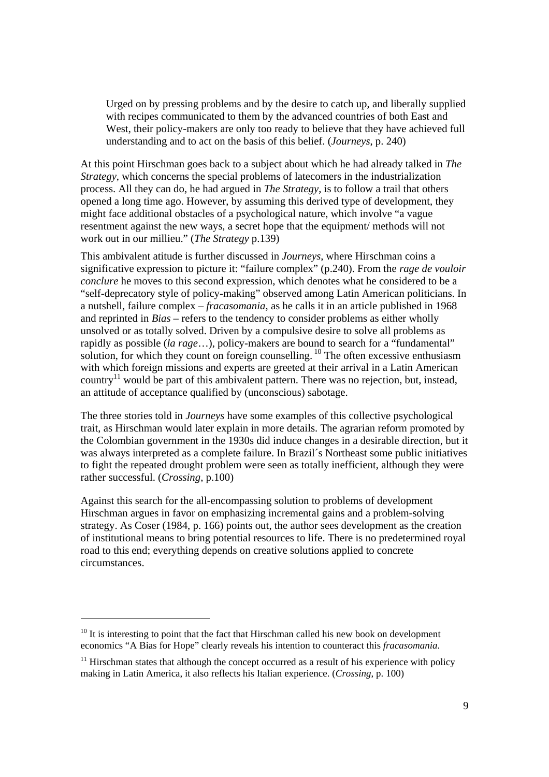Urged on by pressing problems and by the desire to catch up, and liberally supplied with recipes communicated to them by the advanced countries of both East and West, their policy-makers are only too ready to believe that they have achieved full understanding and to act on the basis of this belief. (*Journeys*, p. 240)

At this point Hirschman goes back to a subject about which he had already talked in *The Strategy*, which concerns the special problems of latecomers in the industrialization process. All they can do, he had argued in *The Strategy*, is to follow a trail that others opened a long time ago. However, by assuming this derived type of development, they might face additional obstacles of a psychological nature, which involve "a vague resentment against the new ways, a secret hope that the equipment/ methods will not work out in our millieu." (*The Strategy* p.139)

This ambivalent atitude is further discussed in *Journeys*, where Hirschman coins a significative expression to picture it: "failure complex" (p.240). From the *rage de vouloir conclure* he moves to this second expression, which denotes what he considered to be a "self-deprecatory style of policy-making" observed among Latin American politicians. In a nutshell, failure complex – *fracasomania*, as he calls it in an article published in 1968 and reprinted in *Bias* – refers to the tendency to consider problems as either wholly unsolved or as totally solved. Driven by a compulsive desire to solve all problems as rapidly as possible (*la rage*…), policy-makers are bound to search for a "fundamental" solution, for which they count on foreign counselling.  $^{10}$  The often excessive enthusiasm with which foreign missions and experts are greeted at their arrival in a Latin American country<sup>11</sup> would be part of this ambivalent pattern. There was no rejection, but, instead, an attitude of acceptance qualified by (unconscious) sabotage.

The three stories told in *Journeys* have some examples of this collective psychological trait, as Hirschman would later explain in more details. The agrarian reform promoted by the Colombian government in the 1930s did induce changes in a desirable direction, but it was always interpreted as a complete failure. In Brazil´s Northeast some public initiatives to fight the repeated drought problem were seen as totally inefficient, although they were rather successful. (*Crossing*, p.100)

Against this search for the all-encompassing solution to problems of development Hirschman argues in favor on emphasizing incremental gains and a problem-solving strategy. As Coser (1984, p. 166) points out, the author sees development as the creation of institutional means to bring potential resources to life. There is no predetermined royal road to this end; everything depends on creative solutions applied to concrete circumstances.

 $10$  It is interesting to point that the fact that Hirschman called his new book on development economics "A Bias for Hope" clearly reveals his intention to counteract this *fracasomania*.

 $11$  Hirschman states that although the concept occurred as a result of his experience with policy making in Latin America, it also reflects his Italian experience. (*Crossing*, p. 100)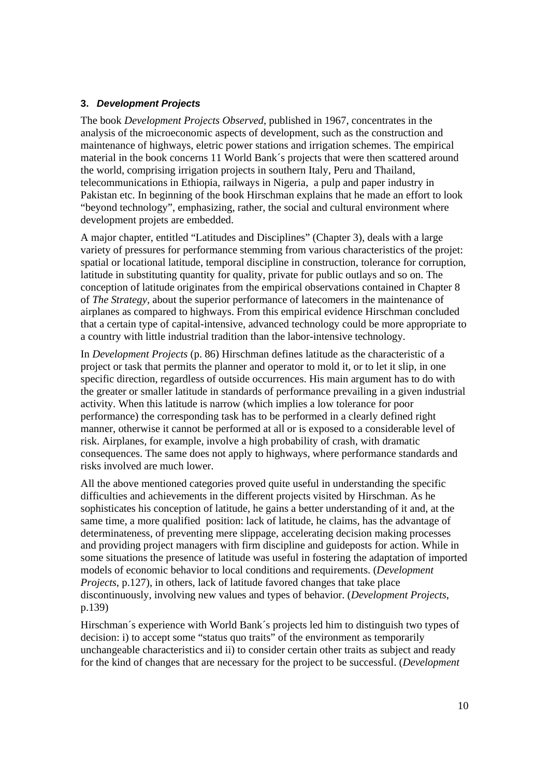### **3.** *Development Projects*

The book *Development Projects Observed*, published in 1967, concentrates in the analysis of the microeconomic aspects of development, such as the construction and maintenance of highways, eletric power stations and irrigation schemes. The empirical material in the book concerns 11 World Bank´s projects that were then scattered around the world, comprising irrigation projects in southern Italy, Peru and Thailand, telecommunications in Ethiopia, railways in Nigeria, a pulp and paper industry in Pakistan etc. In beginning of the book Hirschman explains that he made an effort to look "beyond technology", emphasizing, rather, the social and cultural environment where development projets are embedded.

A major chapter, entitled "Latitudes and Disciplines" (Chapter 3), deals with a large variety of pressures for performance stemming from various characteristics of the projet: spatial or locational latitude, temporal discipline in construction, tolerance for corruption, latitude in substituting quantity for quality, private for public outlays and so on. The conception of latitude originates from the empirical observations contained in Chapter 8 of *The Strategy*, about the superior performance of latecomers in the maintenance of airplanes as compared to highways. From this empirical evidence Hirschman concluded that a certain type of capital-intensive, advanced technology could be more appropriate to a country with little industrial tradition than the labor-intensive technology.

In *Development Projects* (p. 86) Hirschman defines latitude as the characteristic of a project or task that permits the planner and operator to mold it, or to let it slip, in one specific direction, regardless of outside occurrences. His main argument has to do with the greater or smaller latitude in standards of performance prevailing in a given industrial activity. When this latitude is narrow (which implies a low tolerance for poor performance) the corresponding task has to be performed in a clearly defined right manner, otherwise it cannot be performed at all or is exposed to a considerable level of risk. Airplanes, for example, involve a high probability of crash, with dramatic consequences. The same does not apply to highways, where performance standards and risks involved are much lower.

All the above mentioned categories proved quite useful in understanding the specific difficulties and achievements in the different projects visited by Hirschman. As he sophisticates his conception of latitude, he gains a better understanding of it and, at the same time, a more qualified position: lack of latitude, he claims, has the advantage of determinateness, of preventing mere slippage, accelerating decision making processes and providing project managers with firm discipline and guideposts for action. While in some situations the presence of latitude was useful in fostering the adaptation of imported models of economic behavior to local conditions and requirements. (*Development Projects*, p.127), in others, lack of latitude favored changes that take place discontinuously, involving new values and types of behavior. (*Development Projects*, p.139)

Hirschman´s experience with World Bank´s projects led him to distinguish two types of decision: i) to accept some "status quo traits" of the environment as temporarily unchangeable characteristics and ii) to consider certain other traits as subject and ready for the kind of changes that are necessary for the project to be successful. (*Development*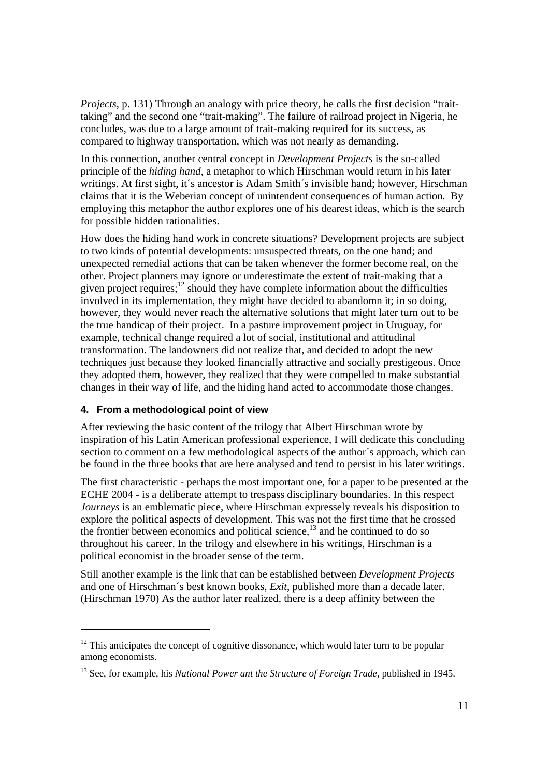*Projects*, p. 131) Through an analogy with price theory, he calls the first decision "traittaking" and the second one "trait-making". The failure of railroad project in Nigeria, he concludes, was due to a large amount of trait-making required for its success, as compared to highway transportation, which was not nearly as demanding.

In this connection, another central concept in *Development Projects* is the so-called principle of the *hiding hand*, a metaphor to which Hirschman would return in his later writings. At first sight, it's ancestor is Adam Smith's invisible hand; however, Hirschman claims that it is the Weberian concept of unintendent consequences of human action. By employing this metaphor the author explores one of his dearest ideas, which is the search for possible hidden rationalities.

How does the hiding hand work in concrete situations? Development projects are subject to two kinds of potential developments: unsuspected threats, on the one hand; and unexpected remedial actions that can be taken whenever the former become real, on the other. Project planners may ignore or underestimate the extent of trait-making that a given project requires; $^{12}$  should they have complete information about the difficulties involved in its implementation, they might have decided to abandomn it; in so doing, however, they would never reach the alternative solutions that might later turn out to be the true handicap of their project. In a pasture improvement project in Uruguay, for example, technical change required a lot of social, institutional and attitudinal transformation. The landowners did not realize that, and decided to adopt the new techniques just because they looked financially attractive and socially prestigeous. Once they adopted them, however, they realized that they were compelled to make substantial changes in their way of life, and the hiding hand acted to accommodate those changes.

## **4. From a methodological point of view**

After reviewing the basic content of the trilogy that Albert Hirschman wrote by inspiration of his Latin American professional experience, I will dedicate this concluding section to comment on a few methodological aspects of the author´s approach, which can be found in the three books that are here analysed and tend to persist in his later writings.

The first characteristic - perhaps the most important one, for a paper to be presented at the ECHE 2004 - is a deliberate attempt to trespass disciplinary boundaries. In this respect *Journeys* is an emblematic piece, where Hirschman expressely reveals his disposition to explore the political aspects of development. This was not the first time that he crossed the frontier between economics and political science, $^{13}$  and he continued to do so throughout his career. In the trilogy and elsewhere in his writings, Hirschman is a political economist in the broader sense of the term.

Still another example is the link that can be established between *Development Projects* and one of Hirschman´s best known books, *Exit*, published more than a decade later. (Hirschman 1970) As the author later realized, there is a deep affinity between the

 $12$  This anticipates the concept of cognitive dissonance, which would later turn to be popular among economists.

<sup>13</sup> See, for example, his *National Power ant the Structure of Foreign Trade*, published in 1945.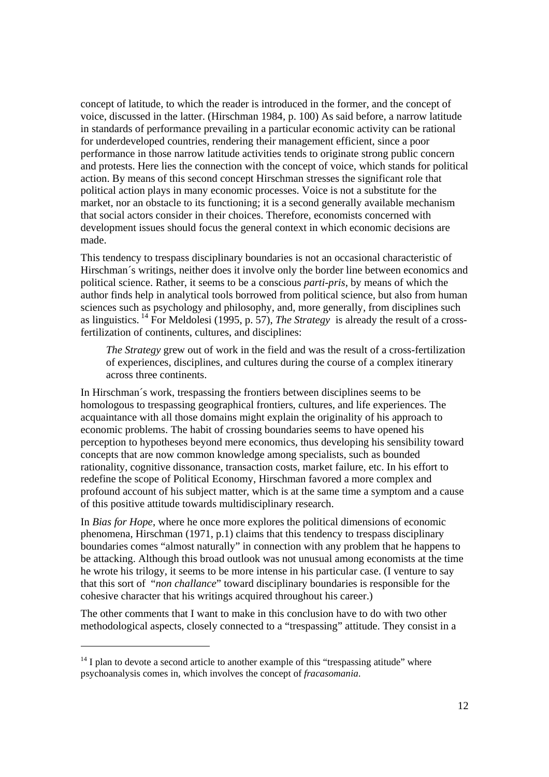concept of latitude, to which the reader is introduced in the former, and the concept of voice, discussed in the latter. (Hirschman 1984, p. 100) As said before, a narrow latitude in standards of performance prevailing in a particular economic activity can be rational for underdeveloped countries, rendering their management efficient, since a poor performance in those narrow latitude activities tends to originate strong public concern and protests. Here lies the connection with the concept of voice, which stands for political action. By means of this second concept Hirschman stresses the significant role that political action plays in many economic processes. Voice is not a substitute for the market, nor an obstacle to its functioning; it is a second generally available mechanism that social actors consider in their choices. Therefore, economists concerned with development issues should focus the general context in which economic decisions are made.

This tendency to trespass disciplinary boundaries is not an occasional characteristic of Hirschman´s writings, neither does it involve only the border line between economics and political science. Rather, it seems to be a conscious *parti-pris*, by means of which the author finds help in analytical tools borrowed from political science, but also from human sciences such as psychology and philosophy, and, more generally, from disciplines such as linguistics. 14 For Meldolesi (1995, p. 57), *The Strategy* is already the result of a crossfertilization of continents, cultures, and disciplines:

*The Strategy* grew out of work in the field and was the result of a cross-fertilization of experiences, disciplines, and cultures during the course of a complex itinerary across three continents.

In Hirschman´s work, trespassing the frontiers between disciplines seems to be homologous to trespassing geographical frontiers, cultures, and life experiences. The acquaintance with all those domains might explain the originality of his approach to economic problems. The habit of crossing boundaries seems to have opened his perception to hypotheses beyond mere economics, thus developing his sensibility toward concepts that are now common knowledge among specialists, such as bounded rationality, cognitive dissonance, transaction costs, market failure, etc. In his effort to redefine the scope of Political Economy, Hirschman favored a more complex and profound account of his subject matter, which is at the same time a symptom and a cause of this positive attitude towards multidisciplinary research.

In *Bias for Hope*, where he once more explores the political dimensions of economic phenomena, Hirschman (1971, p.1) claims that this tendency to trespass disciplinary boundaries comes "almost naturally" in connection with any problem that he happens to be attacking. Although this broad outlook was not unusual among economists at the time he wrote his trilogy, it seems to be more intense in his particular case. (I venture to say that this sort of "*non challance*" toward disciplinary boundaries is responsible for the cohesive character that his writings acquired throughout his career.)

The other comments that I want to make in this conclusion have to do with two other methodological aspects, closely connected to a "trespassing" attitude. They consist in a

 $14$  I plan to devote a second article to another example of this "trespassing atitude" where psychoanalysis comes in, which involves the concept of *fracasomania*.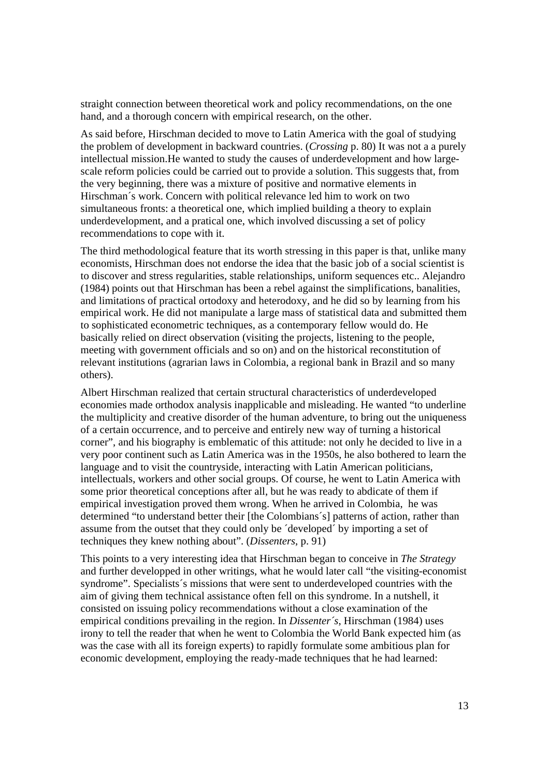straight connection between theoretical work and policy recommendations, on the one hand, and a thorough concern with empirical research, on the other.

As said before, Hirschman decided to move to Latin America with the goal of studying the problem of development in backward countries. (*Crossing* p. 80) It was not a a purely intellectual mission.He wanted to study the causes of underdevelopment and how largescale reform policies could be carried out to provide a solution. This suggests that, from the very beginning, there was a mixture of positive and normative elements in Hirschman´s work. Concern with political relevance led him to work on two simultaneous fronts: a theoretical one, which implied building a theory to explain underdevelopment, and a pratical one, which involved discussing a set of policy recommendations to cope with it.

The third methodological feature that its worth stressing in this paper is that, unlike many economists, Hirschman does not endorse the idea that the basic job of a social scientist is to discover and stress regularities, stable relationships, uniform sequences etc.. Alejandro (1984) points out that Hirschman has been a rebel against the simplifications, banalities, and limitations of practical ortodoxy and heterodoxy, and he did so by learning from his empirical work. He did not manipulate a large mass of statistical data and submitted them to sophisticated econometric techniques, as a contemporary fellow would do. He basically relied on direct observation (visiting the projects, listening to the people, meeting with government officials and so on) and on the historical reconstitution of relevant institutions (agrarian laws in Colombia, a regional bank in Brazil and so many others).

Albert Hirschman realized that certain structural characteristics of underdeveloped economies made orthodox analysis inapplicable and misleading. He wanted "to underline the multiplicity and creative disorder of the human adventure, to bring out the uniqueness of a certain occurrence, and to perceive and entirely new way of turning a historical corner", and his biography is emblematic of this attitude: not only he decided to live in a very poor continent such as Latin America was in the 1950s, he also bothered to learn the language and to visit the countryside, interacting with Latin American politicians, intellectuals, workers and other social groups. Of course, he went to Latin America with some prior theoretical conceptions after all, but he was ready to abdicate of them if empirical investigation proved them wrong. When he arrived in Colombia, he was determined "to understand better their [the Colombians´s] patterns of action, rather than assume from the outset that they could only be ´developed´ by importing a set of techniques they knew nothing about". (*Dissenters*, p. 91)

This points to a very interesting idea that Hirschman began to conceive in *The Strategy* and further developped in other writings, what he would later call "the visiting-economist syndrome". Specialists´s missions that were sent to underdeveloped countries with the aim of giving them technical assistance often fell on this syndrome. In a nutshell, it consisted on issuing policy recommendations without a close examination of the empirical conditions prevailing in the region. In *Dissenter´s*, Hirschman (1984) uses irony to tell the reader that when he went to Colombia the World Bank expected him (as was the case with all its foreign experts) to rapidly formulate some ambitious plan for economic development, employing the ready-made techniques that he had learned: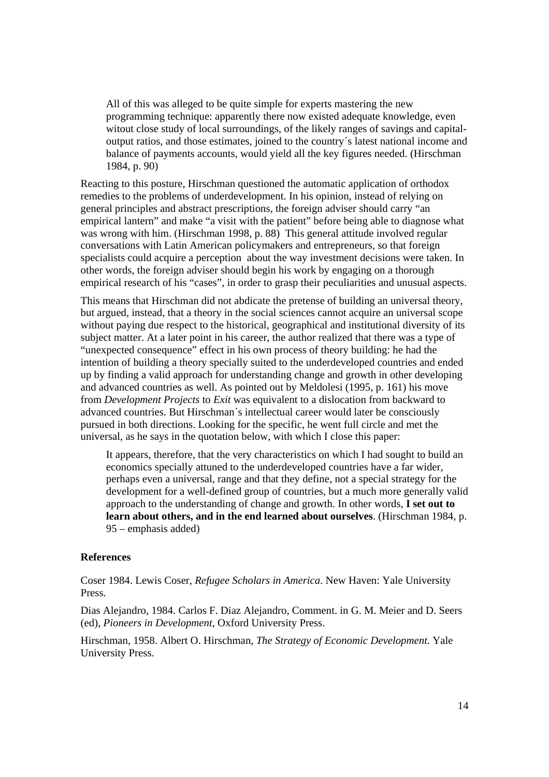All of this was alleged to be quite simple for experts mastering the new programming technique: apparently there now existed adequate knowledge, even witout close study of local surroundings, of the likely ranges of savings and capitaloutput ratios, and those estimates, joined to the country´s latest national income and balance of payments accounts, would yield all the key figures needed. (Hirschman 1984, p. 90)

Reacting to this posture, Hirschman questioned the automatic application of orthodox remedies to the problems of underdevelopment. In his opinion, instead of relying on general principles and abstract prescriptions, the foreign adviser should carry "an empirical lantern" and make "a visit with the patient" before being able to diagnose what was wrong with him. (Hirschman 1998, p. 88) This general attitude involved regular conversations with Latin American policymakers and entrepreneurs, so that foreign specialists could acquire a perception about the way investment decisions were taken. In other words, the foreign adviser should begin his work by engaging on a thorough empirical research of his "cases", in order to grasp their peculiarities and unusual aspects.

This means that Hirschman did not abdicate the pretense of building an universal theory, but argued, instead, that a theory in the social sciences cannot acquire an universal scope without paying due respect to the historical, geographical and institutional diversity of its subject matter. At a later point in his career, the author realized that there was a type of "unexpected consequence" effect in his own process of theory building: he had the intention of building a theory specially suited to the underdeveloped countries and ended up by finding a valid approach for understanding change and growth in other developing and advanced countries as well. As pointed out by Meldolesi (1995, p. 161) his move from *Development Projects* to *Exit* was equivalent to a dislocation from backward to advanced countries. But Hirschman´s intellectual career would later be consciously pursued in both directions. Looking for the specific, he went full circle and met the universal, as he says in the quotation below, with which I close this paper:

It appears, therefore, that the very characteristics on which I had sought to build an economics specially attuned to the underdeveloped countries have a far wider, perhaps even a universal, range and that they define, not a special strategy for the development for a well-defined group of countries, but a much more generally valid approach to the understanding of change and growth. In other words, **I set out to learn about others, and in the end learned about ourselves**. (Hirschman 1984, p. 95 – emphasis added)

#### **References**

Coser 1984. Lewis Coser, *Refugee Scholars in America*. New Haven: Yale University Press.

Dias Alejandro, 1984. Carlos F. Diaz Alejandro, Comment. in G. M. Meier and D. Seers (ed), *Pioneers in Development*, Oxford University Press.

Hirschman, 1958. Albert O. Hirschman, *The Strategy of Economic Development.* Yale University Press.